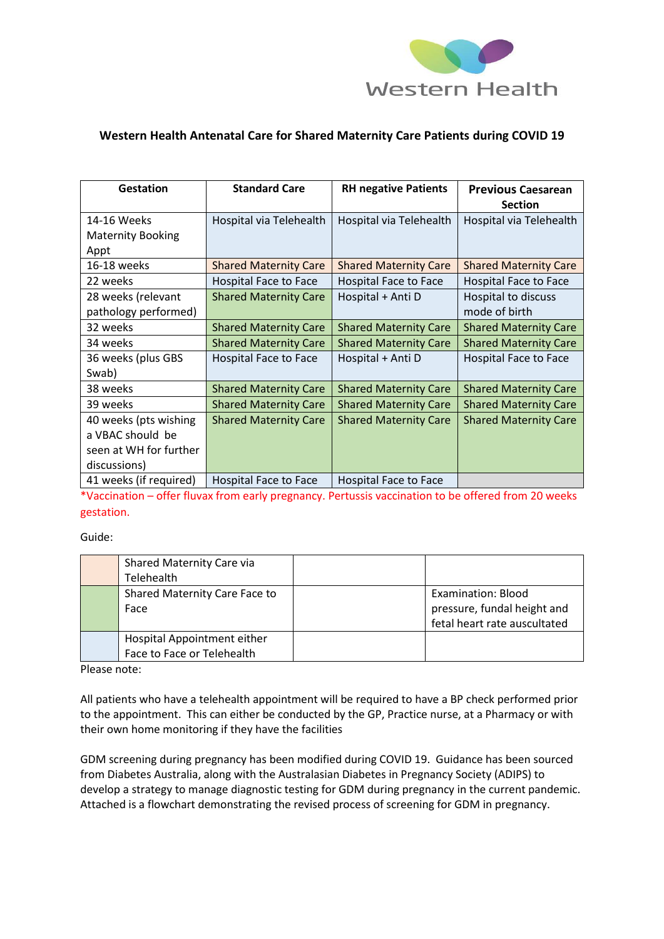

## **Western Health Antenatal Care for Shared Maternity Care Patients during COVID 19**

| <b>Gestation</b>         | <b>Standard Care</b>         | <b>RH negative Patients</b>  | <b>Previous Caesarean</b><br><b>Section</b> |
|--------------------------|------------------------------|------------------------------|---------------------------------------------|
| 14-16 Weeks              | Hospital via Telehealth      | Hospital via Telehealth      | Hospital via Telehealth                     |
| <b>Maternity Booking</b> |                              |                              |                                             |
| Appt                     |                              |                              |                                             |
| 16-18 weeks              | <b>Shared Maternity Care</b> | <b>Shared Maternity Care</b> | <b>Shared Maternity Care</b>                |
| 22 weeks                 | Hospital Face to Face        | Hospital Face to Face        | Hospital Face to Face                       |
| 28 weeks (relevant       | <b>Shared Maternity Care</b> | Hospital + Anti D            | Hospital to discuss                         |
| pathology performed)     |                              |                              | mode of birth                               |
| 32 weeks                 | <b>Shared Maternity Care</b> | <b>Shared Maternity Care</b> | <b>Shared Maternity Care</b>                |
| 34 weeks                 | <b>Shared Maternity Care</b> | <b>Shared Maternity Care</b> | <b>Shared Maternity Care</b>                |
| 36 weeks (plus GBS       | Hospital Face to Face        | Hospital + Anti D            | Hospital Face to Face                       |
| Swab)                    |                              |                              |                                             |
| 38 weeks                 | <b>Shared Maternity Care</b> | <b>Shared Maternity Care</b> | <b>Shared Maternity Care</b>                |
| 39 weeks                 | <b>Shared Maternity Care</b> | <b>Shared Maternity Care</b> | <b>Shared Maternity Care</b>                |
| 40 weeks (pts wishing    | <b>Shared Maternity Care</b> | <b>Shared Maternity Care</b> | <b>Shared Maternity Care</b>                |
| a VBAC should be         |                              |                              |                                             |
| seen at WH for further   |                              |                              |                                             |
| discussions)             |                              |                              |                                             |
| 41 weeks (if required)   | Hospital Face to Face        | Hospital Face to Face        |                                             |

\*Vaccination – offer fluvax from early pregnancy. Pertussis vaccination to be offered from 20 weeks gestation.

Guide:

| Shared Maternity Care via     |                              |
|-------------------------------|------------------------------|
| Telehealth                    |                              |
| Shared Maternity Care Face to | <b>Examination: Blood</b>    |
| Face                          | pressure, fundal height and  |
|                               | fetal heart rate auscultated |
| Hospital Appointment either   |                              |
| Face to Face or Telehealth    |                              |

Please note:

All patients who have a telehealth appointment will be required to have a BP check performed prior to the appointment. This can either be conducted by the GP, Practice nurse, at a Pharmacy or with their own home monitoring if they have the facilities

GDM screening during pregnancy has been modified during COVID 19. Guidance has been sourced from Diabetes Australia, along with the Australasian Diabetes in Pregnancy Society (ADIPS) to develop a strategy to manage diagnostic testing for GDM during pregnancy in the current pandemic. Attached is a flowchart demonstrating the revised process of screening for GDM in pregnancy.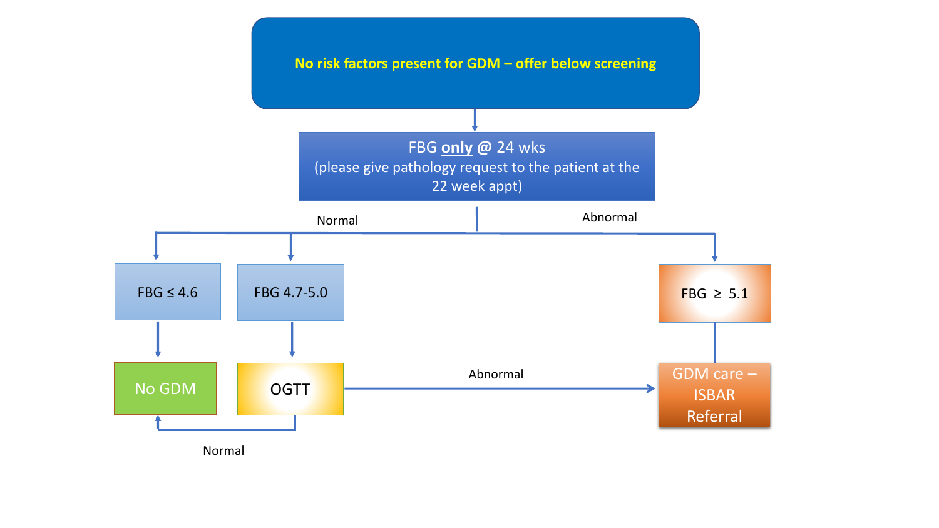